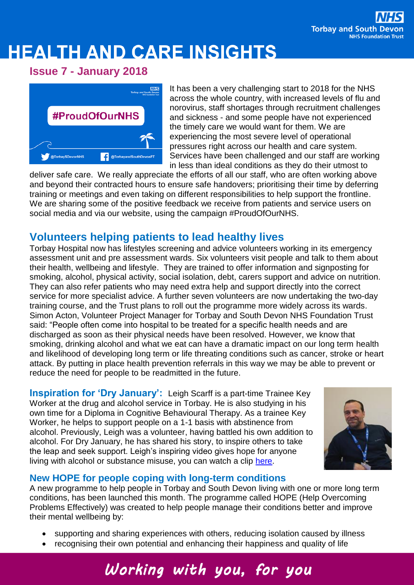# **HEALTH AND CARE INSIGHTS**

### **Issue 7 - January 2018**



It has been a very challenging start to 2018 for the NHS across the whole country, with increased levels of flu and norovirus, staff shortages through recruitment challenges and sickness - and some people have not experienced the timely care we would want for them. We are experiencing the most severe level of operational pressures right across our health and care system. Services have been challenged and our staff are working in less than ideal conditions as they do their utmost to

deliver safe care. We really appreciate the efforts of all our staff, who are often working above and beyond their contracted hours to ensure safe handovers; prioritising their time by deferring training or meetings and even taking on different responsibilities to help support the frontline. We are sharing some of the positive feedback we receive from patients and service users on social media and via our website, using the campaign #ProudOfOurNHS.

### **Volunteers helping patients to lead healthy lives**

Torbay Hospital now has lifestyles screening and advice volunteers working in its emergency assessment unit and pre assessment wards. Six volunteers visit people and talk to them about their health, wellbeing and lifestyle. They are trained to offer information and signposting for smoking, alcohol, physical activity, social isolation, debt, carers support and advice on nutrition. They can also refer patients who may need extra help and support directly into the correct service for more specialist advice. A further seven volunteers are now undertaking the two-day training course, and the Trust plans to roll out the programme more widely across its wards. Simon Acton, Volunteer Project Manager for Torbay and South Devon NHS Foundation Trust said: "People often come into hospital to be treated for a specific health needs and are discharged as soon as their physical needs have been resolved. However, we know that smoking, drinking alcohol and what we eat can have a dramatic impact on our long term health and likelihood of developing long term or life threating conditions such as cancer, stroke or heart attack. By putting in place health prevention referrals in this way we may be able to prevent or reduce the need for people to be readmitted in the future.

**Inspiration for 'Dry January':** Leigh Scarff is a part-time Trainee Key Worker at the drug and alcohol service in Torbay. He is also studying in his own time for a Diploma in Cognitive Behavioural Therapy. As a trainee Key Worker, he helps to support people on a 1-1 basis with abstinence from alcohol. Previously, Leigh was a volunteer, having battled his own addition to alcohol. For Dry January, he has shared his story, to inspire others to take the leap and seek support. Leigh's inspiring video gives hope for anyone living with alcohol or substance misuse, you can watch a clip [here.](https://vimeo.com/251314736)



#### **New HOPE for people coping with long-term conditions**

A new programme to help people in Torbay and South Devon living with one or more long term conditions, has been launched this month. The programme called HOPE (Help Overcoming Problems Effectively) was created to help people manage their conditions better and improve their mental wellbeing by:

- supporting and sharing experiences with others, reducing isolation caused by illness
- recognising their own potential and enhancing their happiness and quality of life

## Working with you, for you